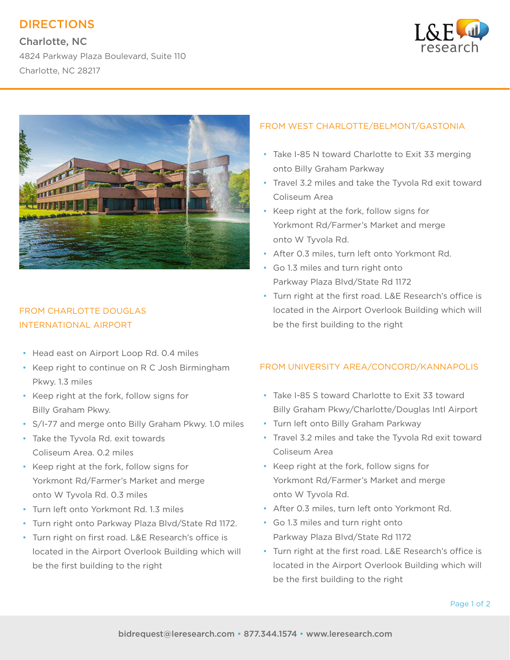# DIRECTIONS

Charlotte, NC 4824 Parkway Plaza Boulevard, Suite 110 Charlotte, NC 28217





## FROM CHARLOTTE DOUGLAS INTERNATIONAL AIRPORT

- Head east on Airport Loop Rd. 0.4 miles
- Keep right to continue on R C Josh Birmingham Pkwy. 1.3 miles
- Keep right at the fork, follow signs for Billy Graham Pkwy.
- S/I-77 and merge onto Billy Graham Pkwy. 1.0 miles
- Take the Tyvola Rd. exit towards Coliseum Area. 0.2 miles
- Keep right at the fork, follow signs for Yorkmont Rd/Farmer's Market and merge onto W Tyvola Rd. 0.3 miles
- Turn left onto Yorkmont Rd. 1.3 miles
- Turn right onto Parkway Plaza Blvd/State Rd 1172.
- Turn right on first road. L&E Research's office is located in the Airport Overlook Building which will be the first building to the right

### FROM WEST CHARLOTTE/BELMONT/GASTONIA

- Take I-85 N toward Charlotte to Exit 33 merging onto Billy Graham Parkway
- Travel 3.2 miles and take the Tyvola Rd exit toward Coliseum Area
- Keep right at the fork, follow signs for Yorkmont Rd/Farmer's Market and merge onto W Tyvola Rd.
- After 0.3 miles, turn left onto Yorkmont Rd.
- Go 1.3 miles and turn right onto Parkway Plaza Blvd/State Rd 1172
- Turn right at the first road. L&E Research's office is located in the Airport Overlook Building which will be the first building to the right

### FROM UNIVERSITY AREA/CONCORD/KANNAPOLIS

- Take I-85 S toward Charlotte to Exit 33 toward Billy Graham Pkwy/Charlotte/Douglas Intl Airport
- Turn left onto Billy Graham Parkway
- Travel 3.2 miles and take the Tyvola Rd exit toward Coliseum Area
- Keep right at the fork, follow signs for Yorkmont Rd/Farmer's Market and merge onto W Tyvola Rd.
- After 0.3 miles, turn left onto Yorkmont Rd.
- Go 1.3 miles and turn right onto Parkway Plaza Blvd/State Rd 1172
- Turn right at the first road. L&E Research's office is located in the Airport Overlook Building which will be the first building to the right